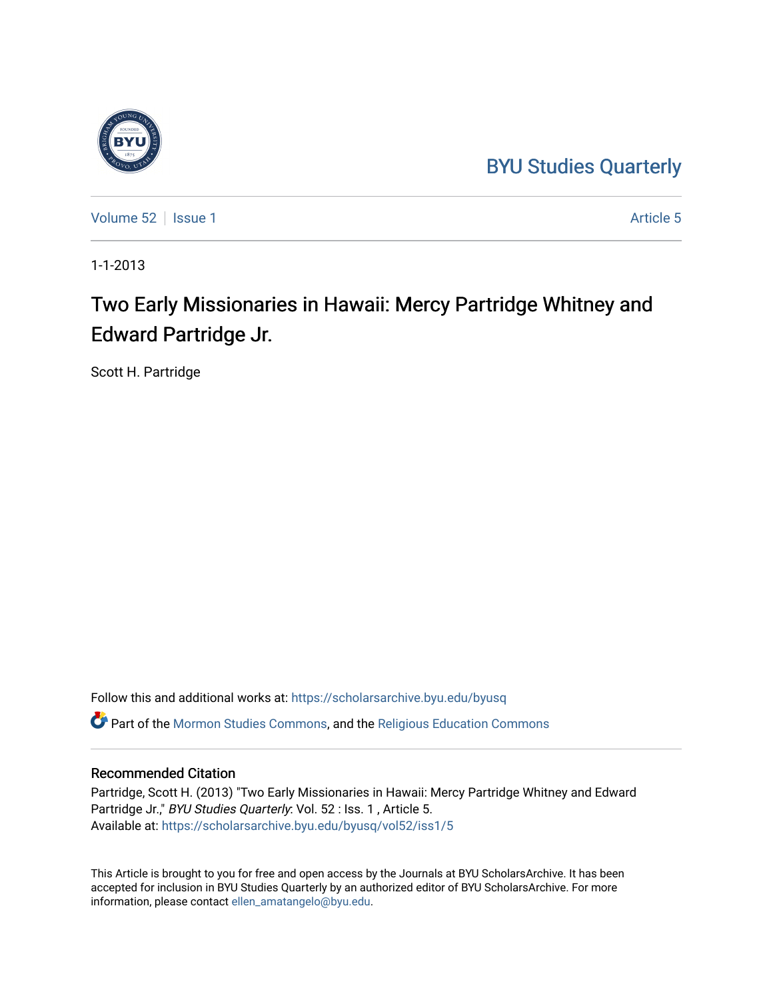## [BYU Studies Quarterly](https://scholarsarchive.byu.edu/byusq)



[Volume 52](https://scholarsarchive.byu.edu/byusq/vol52) | [Issue 1](https://scholarsarchive.byu.edu/byusq/vol52/iss1) Article 5

1-1-2013

# Two Early Missionaries in Hawaii: Mercy Partridge Whitney and Edward Partridge Jr.

Scott H. Partridge

Follow this and additional works at: [https://scholarsarchive.byu.edu/byusq](https://scholarsarchive.byu.edu/byusq?utm_source=scholarsarchive.byu.edu%2Fbyusq%2Fvol52%2Fiss1%2F5&utm_medium=PDF&utm_campaign=PDFCoverPages)  Part of the [Mormon Studies Commons](http://network.bepress.com/hgg/discipline/1360?utm_source=scholarsarchive.byu.edu%2Fbyusq%2Fvol52%2Fiss1%2F5&utm_medium=PDF&utm_campaign=PDFCoverPages), and the [Religious Education Commons](http://network.bepress.com/hgg/discipline/1414?utm_source=scholarsarchive.byu.edu%2Fbyusq%2Fvol52%2Fiss1%2F5&utm_medium=PDF&utm_campaign=PDFCoverPages) 

## Recommended Citation

Partridge, Scott H. (2013) "Two Early Missionaries in Hawaii: Mercy Partridge Whitney and Edward Partridge Jr.," BYU Studies Quarterly: Vol. 52 : Iss. 1, Article 5. Available at: [https://scholarsarchive.byu.edu/byusq/vol52/iss1/5](https://scholarsarchive.byu.edu/byusq/vol52/iss1/5?utm_source=scholarsarchive.byu.edu%2Fbyusq%2Fvol52%2Fiss1%2F5&utm_medium=PDF&utm_campaign=PDFCoverPages)

This Article is brought to you for free and open access by the Journals at BYU ScholarsArchive. It has been accepted for inclusion in BYU Studies Quarterly by an authorized editor of BYU ScholarsArchive. For more information, please contact [ellen\\_amatangelo@byu.edu.](mailto:ellen_amatangelo@byu.edu)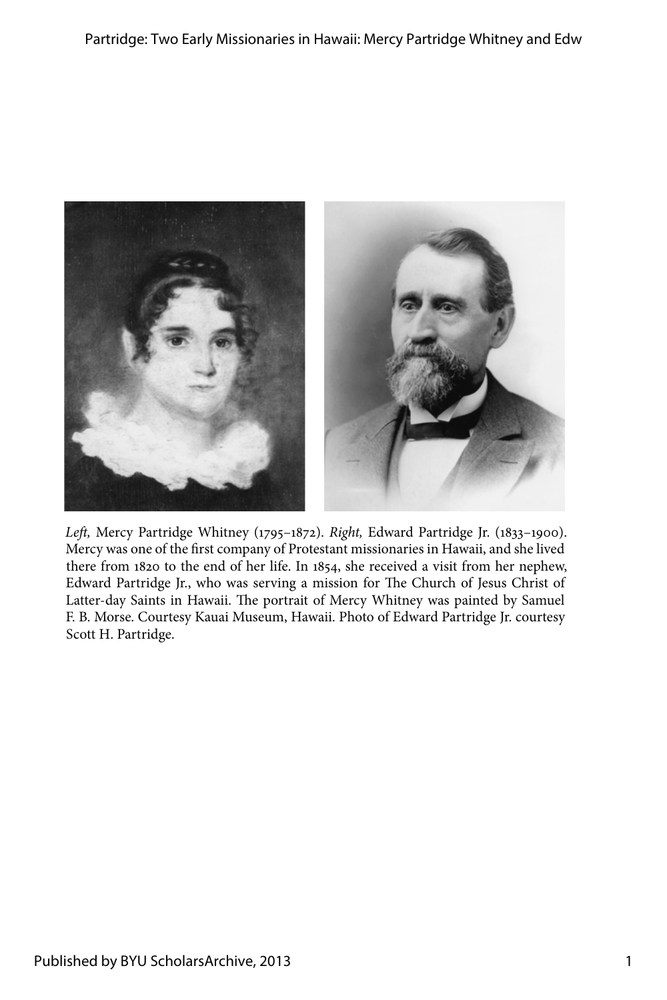

*Left,* Mercy Partridge Whitney (1795–1872). *Right,* Edward Partridge Jr. (1833–1900). Mercy was one of the first company of Protestant missionaries in Hawaii, and she lived there from 1820 to the end of her life. In 1854, she received a visit from her nephew, Edward Partridge Jr., who was serving a mission for The Church of Jesus Christ of Latter-day Saints in Hawaii. The portrait of Mercy Whitney was painted by Samuel F. B. Morse. Courtesy Kauai Museum, Hawaii. Photo of Edward Partridge Jr. courtesy Scott H. Partridge.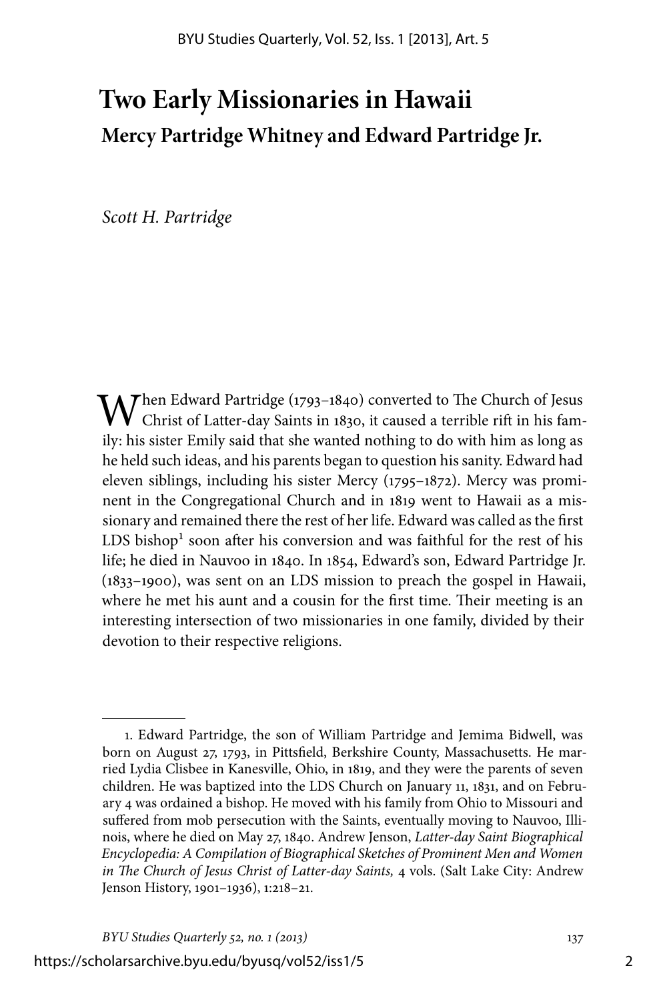## **Two Early Missionaries in Hawaii Mercy Partridge Whitney and Edward Partridge Jr.**

*Scott H. Partridge*

When Edward Partridge (1793–1840) converted to The Church of Jesus Christ of Latter-day Saints in 1830, it caused a terrible rift in his family: his sister Emily said that she wanted nothing to do with him as long as he held such ideas, and his parents began to question his sanity. Edward had eleven siblings, including his sister Mercy (1795–1872). Mercy was prominent in the Congregational Church and in 1819 went to Hawaii as a missionary and remained there the rest of her life. Edward was called as the first LDS bishop<sup>1</sup> soon after his conversion and was faithful for the rest of his life; he died in Nauvoo in 1840. In 1854, Edward's son, Edward Partridge Jr. (1833–1900), was sent on an LDS mission to preach the gospel in Hawaii, where he met his aunt and a cousin for the first time. Their meeting is an interesting intersection of two missionaries in one family, divided by their devotion to their respective religions.

https://scholarsarchive.byu.edu/byusq/vol52/iss1/5

<sup>1.</sup> Edward Partridge, the son of William Partridge and Jemima Bidwell, was born on August 27, 1793, in Pittsfield, Berkshire County, Massachusetts. He married Lydia Clisbee in Kanesville, Ohio, in 1819, and they were the parents of seven children. He was baptized into the LDS Church on January 11, 1831, and on February 4 was ordained a bishop. He moved with his family from Ohio to Missouri and suffered from mob persecution with the Saints, eventually moving to Nauvoo, Illinois, where he died on May 27, 1840. Andrew Jenson, *Latter-day Saint Biographical Encyclopedia: A Compilation of Biographical Sketches of Prominent Men and Women in The Church of Jesus Christ of Latter-day Saints,* 4 vols. (Salt Lake City: Andrew Jenson History, 1901–1936), 1:218–21.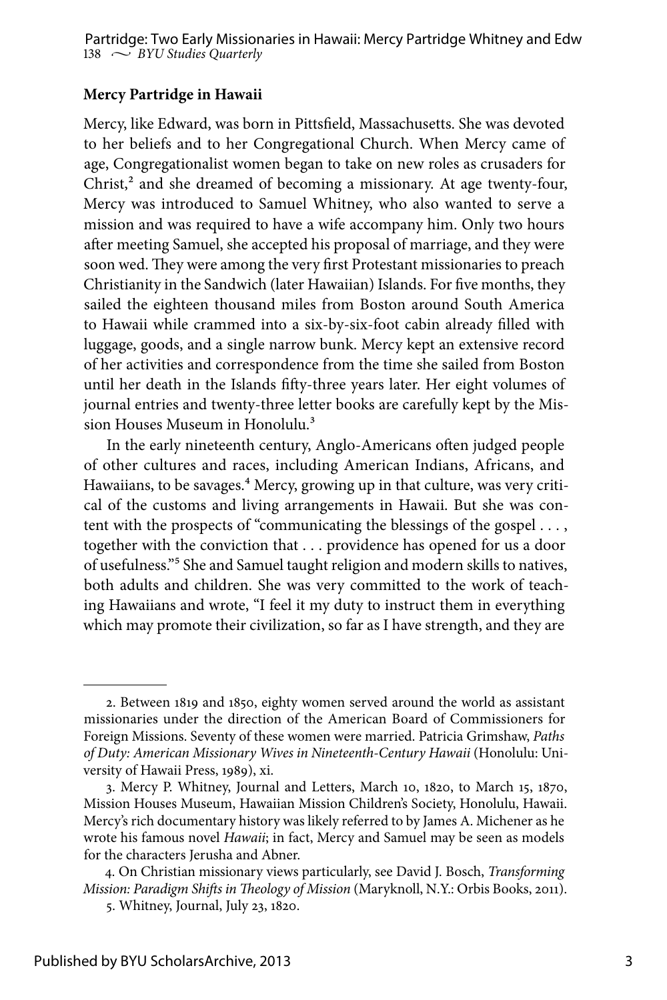## **Mercy Partridge in Hawaii**

Mercy, like Edward, was born in Pittsfield, Massachusetts. She was devoted to her beliefs and to her Congregational Church. When Mercy came of age, Congregationalist women began to take on new roles as crusaders for  $Christ<sub>1</sub><sup>2</sup>$  and she dreamed of becoming a missionary. At age twenty-four, Mercy was introduced to Samuel Whitney, who also wanted to serve a mission and was required to have a wife accompany him. Only two hours after meeting Samuel, she accepted his proposal of marriage, and they were soon wed. They were among the very first Protestant missionaries to preach Christianity in the Sandwich (later Hawaiian) Islands. For five months, they sailed the eighteen thousand miles from Boston around South America to Hawaii while crammed into a six-by-six-foot cabin already filled with luggage, goods, and a single narrow bunk. Mercy kept an extensive record of her activities and correspondence from the time she sailed from Boston until her death in the Islands fifty-three years later. Her eight volumes of journal entries and twenty-three letter books are carefully kept by the Mission Houses Museum in Honolulu.<sup>3</sup>

In the early nineteenth century, Anglo-Americans often judged people of other cultures and races, including American Indians, Africans, and Hawaiians, to be savages.<sup>4</sup> Mercy, growing up in that culture, was very critical of the customs and living arrangements in Hawaii. But she was content with the prospects of "communicating the blessings of the gospel . . . , together with the conviction that . . . providence has opened for us a door of usefulness."5 She and Samuel taught religion and modern skills to natives, both adults and children. She was very committed to the work of teaching Hawaiians and wrote, "I feel it my duty to instruct them in everything which may promote their civilization, so far as I have strength, and they are

<sup>2.</sup> Between 1819 and 1850, eighty women served around the world as assistant missionaries under the direction of the American Board of Commissioners for Foreign Missions. Seventy of these women were married. Patricia Grimshaw, *Paths of Duty: American Missionary Wives in Nineteenth-Century Hawaii* (Honolulu: University of Hawaii Press, 1989), xi.

<sup>3.</sup> Mercy P. Whitney, Journal and Letters, March 10, 1820, to March 15, 1870, Mission Houses Museum, Hawaiian Mission Children's Society, Honolulu, Hawaii. Mercy's rich documentary history was likely referred to by James A. Michener as he wrote his famous novel *Hawaii*; in fact, Mercy and Samuel may be seen as models for the characters Jerusha and Abner.

<sup>4.</sup> On Christian missionary views particularly, see David J. Bosch, *Transforming Mission: Paradigm Shifts in Theology of Mission* (Maryknoll, N.Y.: Orbis Books, 2011).

<sup>5.</sup> Whitney, Journal, July 23, 1820.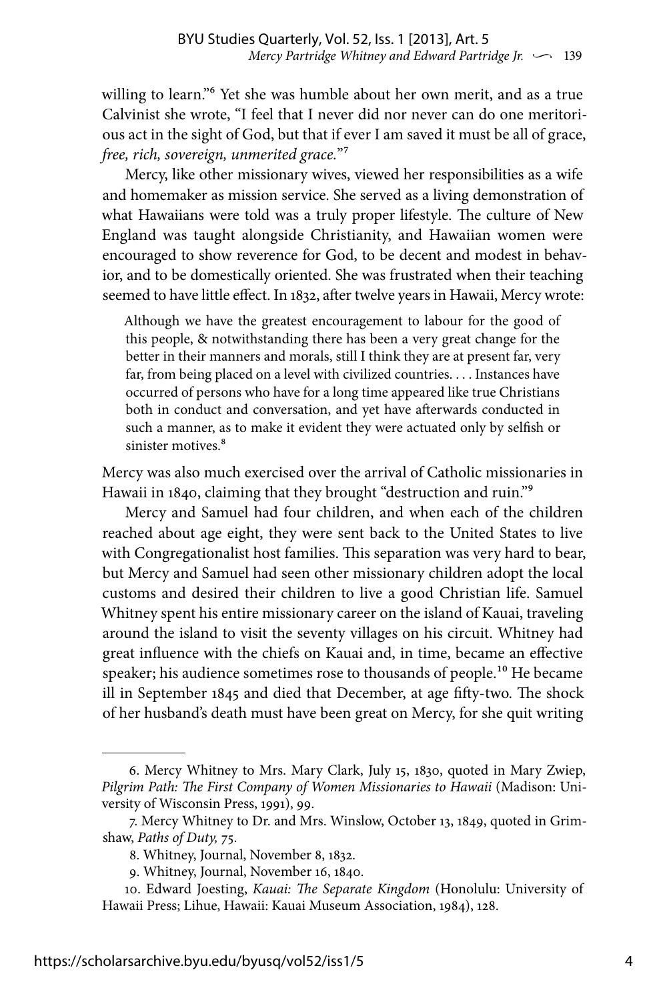willing to learn."6 Yet she was humble about her own merit, and as a true Calvinist she wrote, "I feel that I never did nor never can do one meritorious act in the sight of God, but that if ever I am saved it must be all of grace, *free, rich, sovereign, unmerited grace.*"7

Mercy, like other missionary wives, viewed her responsibilities as a wife and homemaker as mission service. She served as a living demonstration of what Hawaiians were told was a truly proper lifestyle. The culture of New England was taught alongside Christianity, and Hawaiian women were encouraged to show reverence for God, to be decent and modest in behavior, and to be domestically oriented. She was frustrated when their teaching seemed to have little effect. In 1832, after twelve years in Hawaii, Mercy wrote:

Although we have the greatest encouragement to labour for the good of this people, & notwithstanding there has been a very great change for the better in their manners and morals, still I think they are at present far, very far, from being placed on a level with civilized countries. . . . Instances have occurred of persons who have for a long time appeared like true Christians both in conduct and conversation, and yet have afterwards conducted in such a manner, as to make it evident they were actuated only by selfish or sinister motives.<sup>8</sup>

Mercy was also much exercised over the arrival of Catholic missionaries in Hawaii in 1840, claiming that they brought "destruction and ruin."9

Mercy and Samuel had four children, and when each of the children reached about age eight, they were sent back to the United States to live with Congregationalist host families. This separation was very hard to bear, but Mercy and Samuel had seen other missionary children adopt the local customs and desired their children to live a good Christian life. Samuel Whitney spent his entire missionary career on the island of Kauai, traveling around the island to visit the seventy villages on his circuit. Whitney had great influence with the chiefs on Kauai and, in time, became an effective speaker; his audience sometimes rose to thousands of people.<sup>10</sup> He became ill in September 1845 and died that December, at age fifty-two. The shock of her husband's death must have been great on Mercy, for she quit writing

<sup>6.</sup> Mercy Whitney to Mrs. Mary Clark, July 15, 1830, quoted in Mary Zwiep, *Pilgrim Path: The First Company of Women Missionaries to Hawaii* (Madison: University of Wisconsin Press, 1991), 99.

<sup>7.</sup> Mercy Whitney to Dr. and Mrs. Winslow, October 13, 1849, quoted in Grimshaw, *Paths of Duty,* 75.

<sup>8.</sup> Whitney, Journal, November 8, 1832.

<sup>9.</sup> Whitney, Journal, November 16, 1840.

<sup>10.</sup> Edward Joesting, *Kauai: The Separate Kingdom* (Honolulu: University of Hawaii Press; Lihue, Hawaii: Kauai Museum Association, 1984), 128.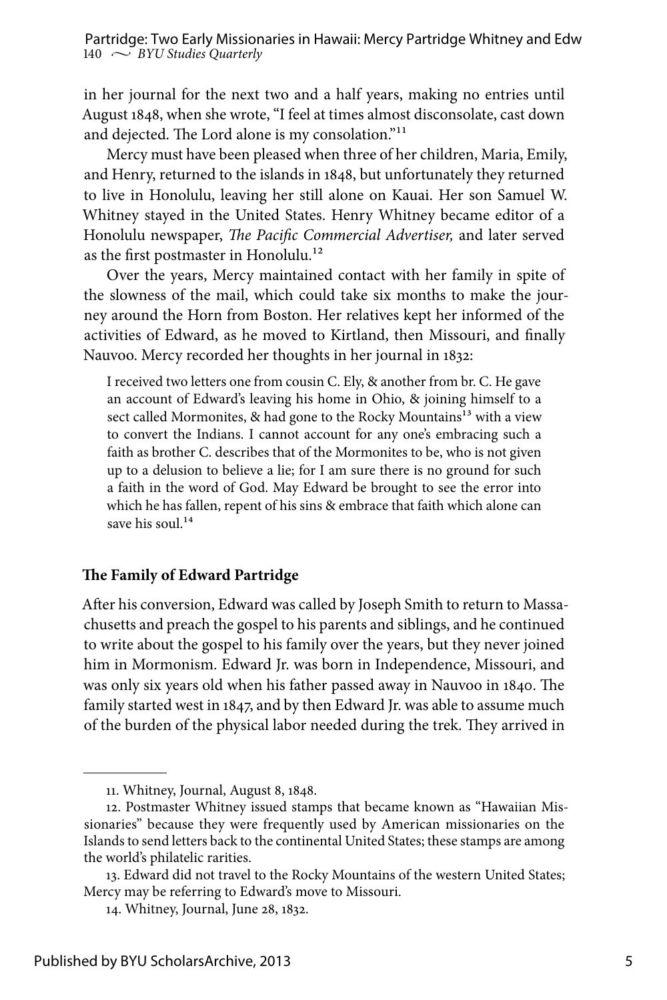in her journal for the next two and a half years, making no entries until August 1848, when she wrote, "I feel at times almost disconsolate, cast down and dejected. The Lord alone is my consolation."<sup>11</sup>

Mercy must have been pleased when three of her children, Maria, Emily, and Henry, returned to the islands in 1848, but unfortunately they returned to live in Honolulu, leaving her still alone on Kauai. Her son Samuel W. Whitney stayed in the United States. Henry Whitney became editor of a Honolulu newspaper, *The Pacific Commercial Advertiser,* and later served as the first postmaster in Honolulu.<sup>12</sup>

Over the years, Mercy maintained contact with her family in spite of the slowness of the mail, which could take six months to make the journey around the Horn from Boston. Her relatives kept her informed of the activities of Edward, as he moved to Kirtland, then Missouri, and finally Nauvoo. Mercy recorded her thoughts in her journal in 1832:

I received two letters one from cousin C. Ely, & another from br. C. He gave an account of Edward's leaving his home in Ohio, & joining himself to a sect called Mormonites, & had gone to the Rocky Mountains<sup>13</sup> with a view to convert the Indians. I cannot account for any one's embracing such a faith as brother C. describes that of the Mormonites to be, who is not given up to a delusion to believe a lie; for I am sure there is no ground for such a faith in the word of God. May Edward be brought to see the error into which he has fallen, repent of his sins & embrace that faith which alone can save his soul.<sup>14</sup>

#### **The Family of Edward Partridge**

After his conversion, Edward was called by Joseph Smith to return to Massachusetts and preach the gospel to his parents and siblings, and he continued to write about the gospel to his family over the years, but they never joined him in Mormonism. Edward Jr. was born in Independence, Missouri, and was only six years old when his father passed away in Nauvoo in 1840. The family started west in 1847, and by then Edward Jr. was able to assume much of the burden of the physical labor needed during the trek. They arrived in

<sup>11.</sup> Whitney, Journal, August 8, 1848.

<sup>12.</sup> Postmaster Whitney issued stamps that became known as "Hawaiian Missionaries" because they were frequently used by American missionaries on the Islands to send letters back to the continental United States; these stamps are among the world's philatelic rarities.

<sup>13.</sup> Edward did not travel to the Rocky Mountains of the western United States; Mercy may be referring to Edward's move to Missouri.

<sup>14.</sup> Whitney, Journal, June 28, 1832.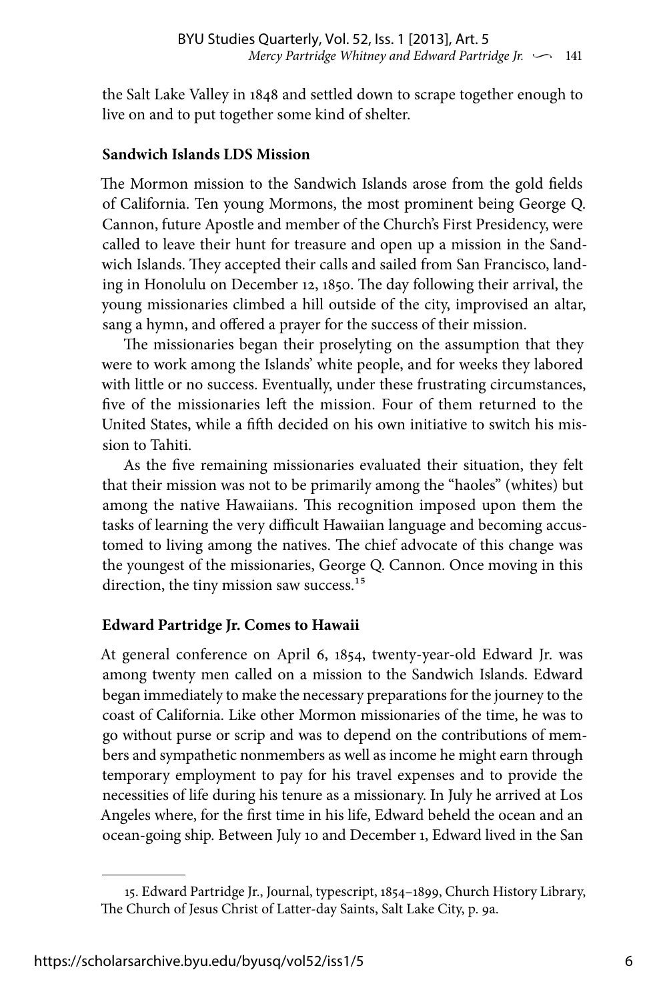the Salt Lake Valley in 1848 and settled down to scrape together enough to live on and to put together some kind of shelter.

#### **Sandwich Islands LDS Mission**

The Mormon mission to the Sandwich Islands arose from the gold fields of California. Ten young Mormons, the most prominent being George Q. Cannon, future Apostle and member of the Church's First Presidency, were called to leave their hunt for treasure and open up a mission in the Sandwich Islands. They accepted their calls and sailed from San Francisco, landing in Honolulu on December 12, 1850. The day following their arrival, the young missionaries climbed a hill outside of the city, improvised an altar, sang a hymn, and offered a prayer for the success of their mission.

The missionaries began their proselyting on the assumption that they were to work among the Islands' white people, and for weeks they labored with little or no success. Eventually, under these frustrating circumstances, five of the missionaries left the mission. Four of them returned to the United States, while a fifth decided on his own initiative to switch his mission to Tahiti.

As the five remaining missionaries evaluated their situation, they felt that their mission was not to be primarily among the "haoles" (whites) but among the native Hawaiians. This recognition imposed upon them the tasks of learning the very difficult Hawaiian language and becoming accustomed to living among the natives. The chief advocate of this change was the youngest of the missionaries, George Q. Cannon. Once moving in this direction, the tiny mission saw success.<sup>15</sup>

### **Edward Partridge Jr. Comes to Hawaii**

At general conference on April 6, 1854, twenty-year-old Edward Jr. was among twenty men called on a mission to the Sandwich Islands. Edward began immediately to make the necessary preparations for the journey to the coast of California. Like other Mormon missionaries of the time, he was to go without purse or scrip and was to depend on the contributions of members and sympathetic nonmembers as well as income he might earn through temporary employment to pay for his travel expenses and to provide the necessities of life during his tenure as a missionary. In July he arrived at Los Angeles where, for the first time in his life, Edward beheld the ocean and an ocean-going ship. Between July 10 and December 1, Edward lived in the San

<sup>15.</sup> Edward Partridge Jr., Journal, typescript, 1854–1899, Church History Library, The Church of Jesus Christ of Latter-day Saints, Salt Lake City, p. 9a.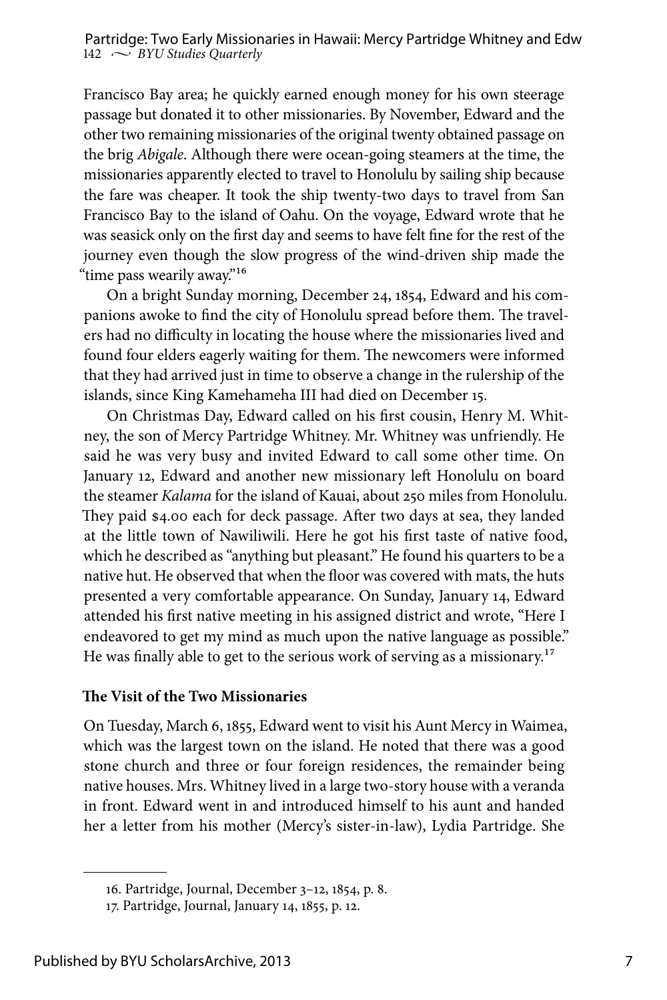Francisco Bay area; he quickly earned enough money for his own steerage passage but donated it to other missionaries. By November, Edward and the other two remaining missionaries of the original twenty obtained passage on the brig *Abigale*. Although there were ocean-going steamers at the time, the missionaries apparently elected to travel to Honolulu by sailing ship because the fare was cheaper. It took the ship twenty-two days to travel from San Francisco Bay to the island of Oahu. On the voyage, Edward wrote that he was seasick only on the first day and seems to have felt fine for the rest of the journey even though the slow progress of the wind-driven ship made the "time pass wearily away."16

On a bright Sunday morning, December 24, 1854, Edward and his companions awoke to find the city of Honolulu spread before them. The travelers had no difficulty in locating the house where the missionaries lived and found four elders eagerly waiting for them. The newcomers were informed that they had arrived just in time to observe a change in the rulership of the islands, since King Kamehameha III had died on December 15.

On Christmas Day, Edward called on his first cousin, Henry M. Whitney, the son of Mercy Partridge Whitney. Mr. Whitney was unfriendly. He said he was very busy and invited Edward to call some other time. On January 12, Edward and another new missionary left Honolulu on board the steamer *Kalama* for the island of Kauai, about 250 miles from Honolulu. They paid \$4.00 each for deck passage. After two days at sea, they landed at the little town of Nawiliwili. Here he got his first taste of native food, which he described as "anything but pleasant." He found his quarters to be a native hut. He observed that when the floor was covered with mats, the huts presented a very comfortable appearance. On Sunday, January 14, Edward attended his first native meeting in his assigned district and wrote, "Here I endeavored to get my mind as much upon the native language as possible." He was finally able to get to the serious work of serving as a missionary.<sup>17</sup>

#### **The Visit of the Two Missionaries**

On Tuesday, March 6, 1855, Edward went to visit his Aunt Mercy in Waimea, which was the largest town on the island. He noted that there was a good stone church and three or four foreign residences, the remainder being native houses. Mrs. Whitney lived in a large two-story house with a veranda in front. Edward went in and introduced himself to his aunt and handed her a letter from his mother (Mercy's sister-in-law), Lydia Partridge. She

<sup>16.</sup> Partridge, Journal, December 3–12, 1854, p. 8.

<sup>17.</sup> Partridge, Journal, January 14, 1855, p. 12.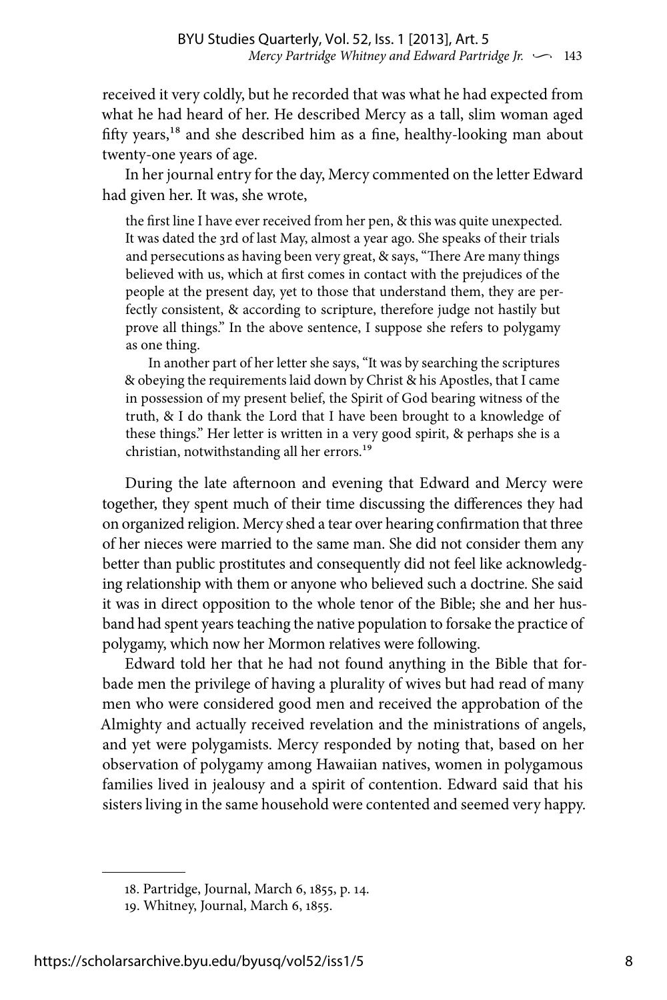received it very coldly, but he recorded that was what he had expected from what he had heard of her. He described Mercy as a tall, slim woman aged fifty years,<sup>18</sup> and she described him as a fine, healthy-looking man about twenty-one years of age.

In her journal entry for the day, Mercy commented on the letter Edward had given her. It was, she wrote,

the first line I have ever received from her pen, & this was quite unexpected. It was dated the 3rd of last May, almost a year ago. She speaks of their trials and persecutions as having been very great, & says, "There Are many things believed with us, which at first comes in contact with the prejudices of the people at the present day, yet to those that understand them, they are perfectly consistent, & according to scripture, therefore judge not hastily but prove all things." In the above sentence, I suppose she refers to polygamy as one thing.

In another part of her letter she says, "It was by searching the scriptures & obeying the requirements laid down by Christ & his Apostles, that I came in possession of my present belief, the Spirit of God bearing witness of the truth, & I do thank the Lord that I have been brought to a knowledge of these things." Her letter is written in a very good spirit, & perhaps she is a christian, notwithstanding all her errors.19

During the late afternoon and evening that Edward and Mercy were together, they spent much of their time discussing the differences they had on organized religion. Mercy shed a tear over hearing confirmation that three of her nieces were married to the same man. She did not consider them any better than public prostitutes and consequently did not feel like acknowledging relationship with them or anyone who believed such a doctrine. She said it was in direct opposition to the whole tenor of the Bible; she and her husband had spent years teaching the native population to forsake the practice of polygamy, which now her Mormon relatives were following.

Edward told her that he had not found anything in the Bible that forbade men the privilege of having a plurality of wives but had read of many men who were considered good men and received the approbation of the Almighty and actually received revelation and the ministrations of angels, and yet were polygamists. Mercy responded by noting that, based on her observation of polygamy among Hawaiian natives, women in polygamous families lived in jealousy and a spirit of contention. Edward said that his sisters living in the same household were contented and seemed very happy.

<sup>18.</sup> Partridge, Journal, March 6, 1855, p. 14.

<sup>19.</sup> Whitney, Journal, March 6, 1855.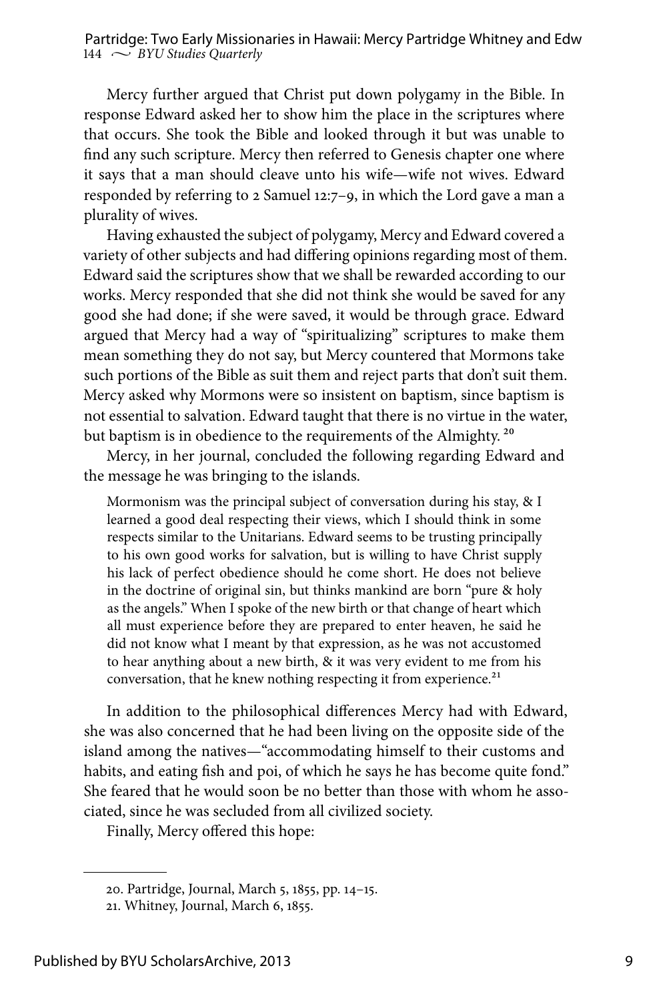Mercy further argued that Christ put down polygamy in the Bible. In response Edward asked her to show him the place in the scriptures where that occurs. She took the Bible and looked through it but was unable to find any such scripture. Mercy then referred to Genesis chapter one where it says that a man should cleave unto his wife—wife not wives. Edward responded by referring to 2 Samuel 12:7–9, in which the Lord gave a man a plurality of wives.

Having exhausted the subject of polygamy, Mercy and Edward covered a variety of other subjects and had differing opinions regarding most of them. Edward said the scriptures show that we shall be rewarded according to our works. Mercy responded that she did not think she would be saved for any good she had done; if she were saved, it would be through grace. Edward argued that Mercy had a way of "spiritualizing" scriptures to make them mean something they do not say, but Mercy countered that Mormons take such portions of the Bible as suit them and reject parts that don't suit them. Mercy asked why Mormons were so insistent on baptism, since baptism is not essential to salvation. Edward taught that there is no virtue in the water, but baptism is in obedience to the requirements of the Almighty.<sup>20</sup>

Mercy, in her journal, concluded the following regarding Edward and the message he was bringing to the islands.

Mormonism was the principal subject of conversation during his stay, & I learned a good deal respecting their views, which I should think in some respects similar to the Unitarians. Edward seems to be trusting principally to his own good works for salvation, but is willing to have Christ supply his lack of perfect obedience should he come short. He does not believe in the doctrine of original sin, but thinks mankind are born "pure & holy as the angels." When I spoke of the new birth or that change of heart which all must experience before they are prepared to enter heaven, he said he did not know what I meant by that expression, as he was not accustomed to hear anything about a new birth, & it was very evident to me from his conversation, that he knew nothing respecting it from experience.<sup>21</sup>

In addition to the philosophical differences Mercy had with Edward, she was also concerned that he had been living on the opposite side of the island among the natives—"accommodating himself to their customs and habits, and eating fish and poi, of which he says he has become quite fond." She feared that he would soon be no better than those with whom he associated, since he was secluded from all civilized society.

Finally, Mercy offered this hope:

<sup>20.</sup> Partridge, Journal, March 5, 1855, pp. 14–15.

<sup>21.</sup> Whitney, Journal, March 6, 1855.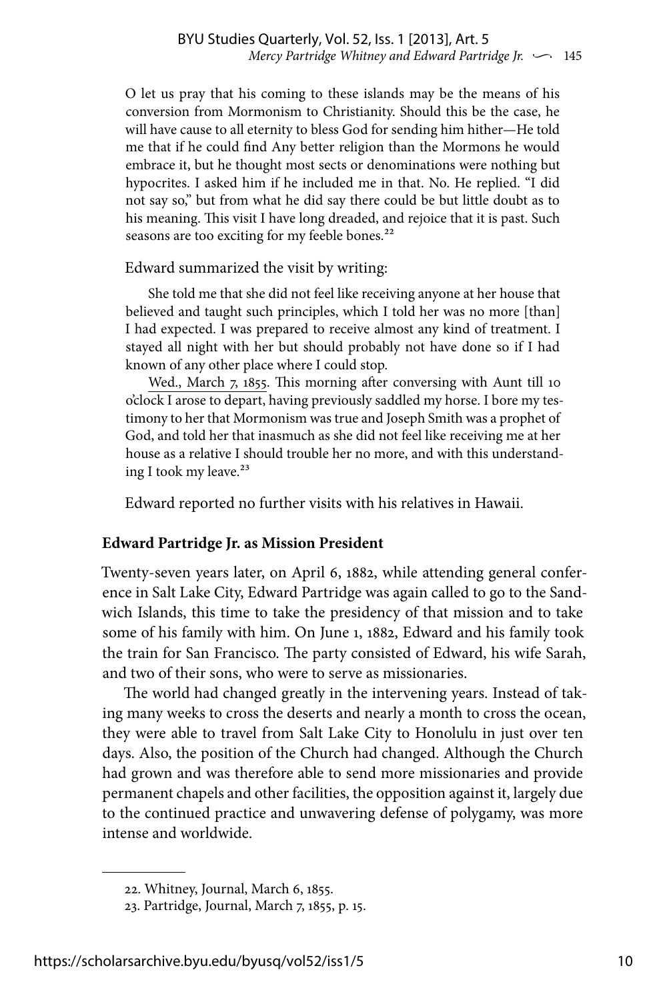O let us pray that his coming to these islands may be the means of his conversion from Mormonism to Christianity. Should this be the case, he will have cause to all eternity to bless God for sending him hither—He told me that if he could find Any better religion than the Mormons he would embrace it, but he thought most sects or denominations were nothing but hypocrites. I asked him if he included me in that. No. He replied. "I did not say so," but from what he did say there could be but little doubt as to his meaning. This visit I have long dreaded, and rejoice that it is past. Such seasons are too exciting for my feeble bones.<sup>22</sup>

Edward summarized the visit by writing:

She told me that she did not feel like receiving anyone at her house that believed and taught such principles, which I told her was no more [than] I had expected. I was prepared to receive almost any kind of treatment. I stayed all night with her but should probably not have done so if I had known of any other place where I could stop.

Wed., March 7, 1855. This morning after conversing with Aunt till 10 o'clock I arose to depart, having previously saddled my horse. I bore my testimony to her that Mormonism was true and Joseph Smith was a prophet of God, and told her that inasmuch as she did not feel like receiving me at her house as a relative I should trouble her no more, and with this understanding I took my leave.<sup>23</sup>

Edward reported no further visits with his relatives in Hawaii.

#### **Edward Partridge Jr. as Mission President**

Twenty-seven years later, on April 6, 1882, while attending general conference in Salt Lake City, Edward Partridge was again called to go to the Sandwich Islands, this time to take the presidency of that mission and to take some of his family with him. On June 1, 1882, Edward and his family took the train for San Francisco. The party consisted of Edward, his wife Sarah, and two of their sons, who were to serve as missionaries.

The world had changed greatly in the intervening years. Instead of taking many weeks to cross the deserts and nearly a month to cross the ocean, they were able to travel from Salt Lake City to Honolulu in just over ten days. Also, the position of the Church had changed. Although the Church had grown and was therefore able to send more missionaries and provide permanent chapels and other facilities, the opposition against it, largely due to the continued practice and unwavering defense of polygamy, was more intense and worldwide.

<sup>22.</sup> Whitney, Journal, March 6, 1855.

<sup>23.</sup> Partridge, Journal, March 7, 1855, p. 15.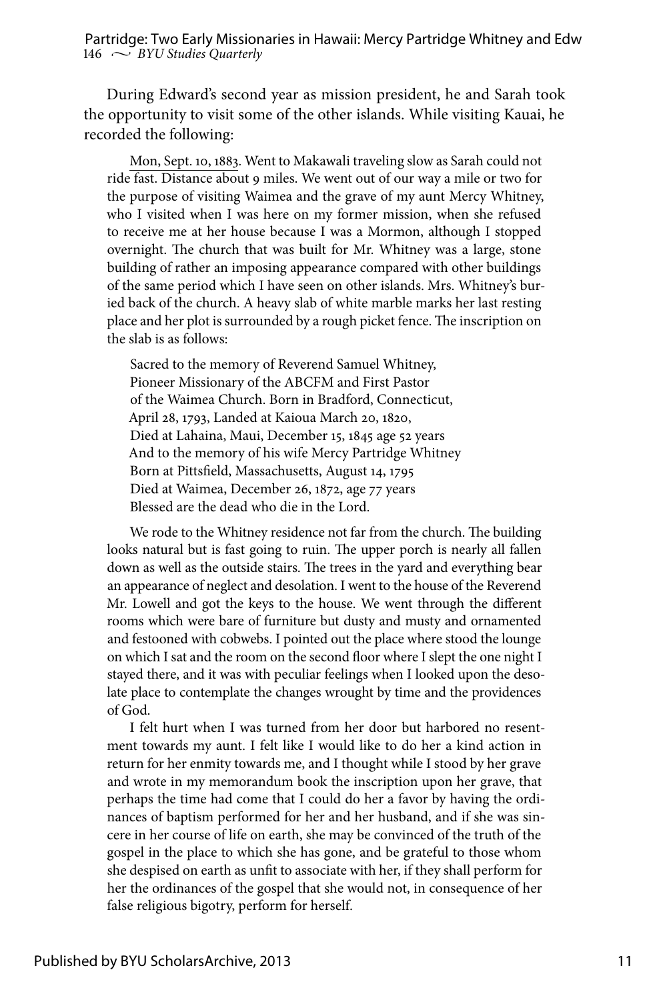During Edward's second year as mission president, he and Sarah took the opportunity to visit some of the other islands. While visiting Kauai, he recorded the following:

Mon, Sept. 10, 1883. Went to Makawali traveling slow as Sarah could not ride fast. Distance about 9 miles. We went out of our way a mile or two for the purpose of visiting Waimea and the grave of my aunt Mercy Whitney, who I visited when I was here on my former mission, when she refused to receive me at her house because I was a Mormon, although I stopped overnight. The church that was built for Mr. Whitney was a large, stone building of rather an imposing appearance compared with other buildings of the same period which I have seen on other islands. Mrs. Whitney's buried back of the church. A heavy slab of white marble marks her last resting place and her plot is surrounded by a rough picket fence. The inscription on the slab is as follows:

Sacred to the memory of Reverend Samuel Whitney, Pioneer Missionary of the ABCFM and First Pastor of the Waimea Church. Born in Bradford, Connecticut, April 28, 1793, Landed at Kaioua March 20, 1820, Died at Lahaina, Maui, December 15, 1845 age 52 years And to the memory of his wife Mercy Partridge Whitney Born at Pittsfield, Massachusetts, August 14, 1795 Died at Waimea, December 26, 1872, age 77 years Blessed are the dead who die in the Lord.

We rode to the Whitney residence not far from the church. The building looks natural but is fast going to ruin. The upper porch is nearly all fallen down as well as the outside stairs. The trees in the yard and everything bear an appearance of neglect and desolation. I went to the house of the Reverend Mr. Lowell and got the keys to the house. We went through the different rooms which were bare of furniture but dusty and musty and ornamented and festooned with cobwebs. I pointed out the place where stood the lounge on which I sat and the room on the second floor where I slept the one night I stayed there, and it was with peculiar feelings when I looked upon the desolate place to contemplate the changes wrought by time and the providences of God.

I felt hurt when I was turned from her door but harbored no resentment towards my aunt. I felt like I would like to do her a kind action in return for her enmity towards me, and I thought while I stood by her grave and wrote in my memorandum book the inscription upon her grave, that perhaps the time had come that I could do her a favor by having the ordinances of baptism performed for her and her husband, and if she was sincere in her course of life on earth, she may be convinced of the truth of the gospel in the place to which she has gone, and be grateful to those whom she despised on earth as unfit to associate with her, if they shall perform for her the ordinances of the gospel that she would not, in consequence of her false religious bigotry, perform for herself.